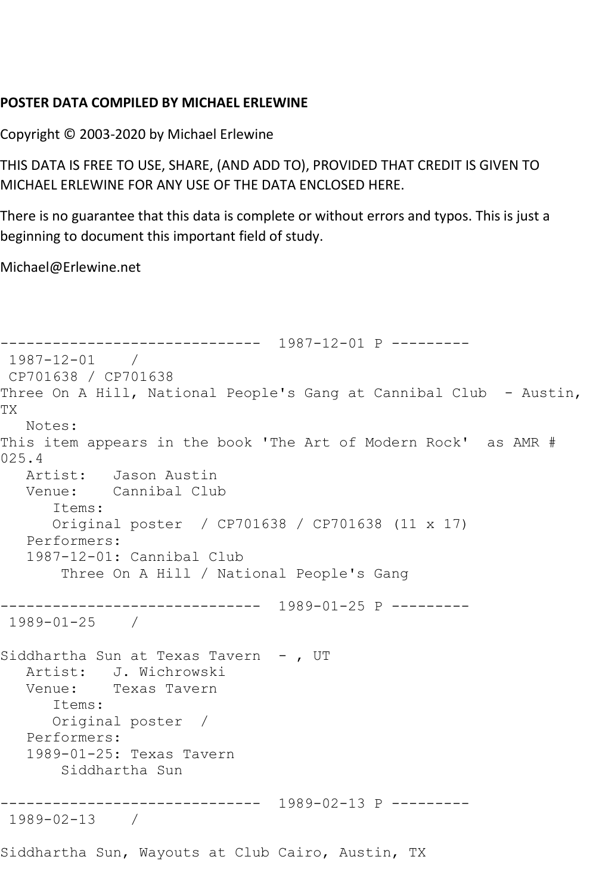## **POSTER DATA COMPILED BY MICHAEL ERLEWINE**

Copyright © 2003-2020 by Michael Erlewine

THIS DATA IS FREE TO USE, SHARE, (AND ADD TO), PROVIDED THAT CREDIT IS GIVEN TO MICHAEL ERLEWINE FOR ANY USE OF THE DATA ENCLOSED HERE.

There is no guarantee that this data is complete or without errors and typos. This is just a beginning to document this important field of study.

Michael@Erlewine.net

```
------------------------------ 1987-12-01 P ---------
1987-12-01 / 
CP701638 / CP701638
Three On A Hill, National People's Gang at Cannibal Club - Austin,
TX
   Notes: 
This item appears in the book 'The Art of Modern Rock' as AMR # 
025.4
   Artist: Jason Austin
   Venue: Cannibal Club
      Items:
      Original poster / CP701638 / CP701638 (11 x 17)
   Performers:
   1987-12-01: Cannibal Club
        Three On A Hill / National People's Gang
------------------------------ 1989-01-25 P ---------
1989-01-25 / 
Siddhartha Sun at Texas Tavern - , UT
  Artist: J. Wichrowski<br>Venue: Texas Tavern
            Texas Tavern
       Items:
      Original poster / 
   Performers:
   1989-01-25: Texas Tavern
       Siddhartha Sun
   ------------------------------ 1989-02-13 P ---------
1989-02-13 / 
Siddhartha Sun, Wayouts at Club Cairo, Austin, TX
```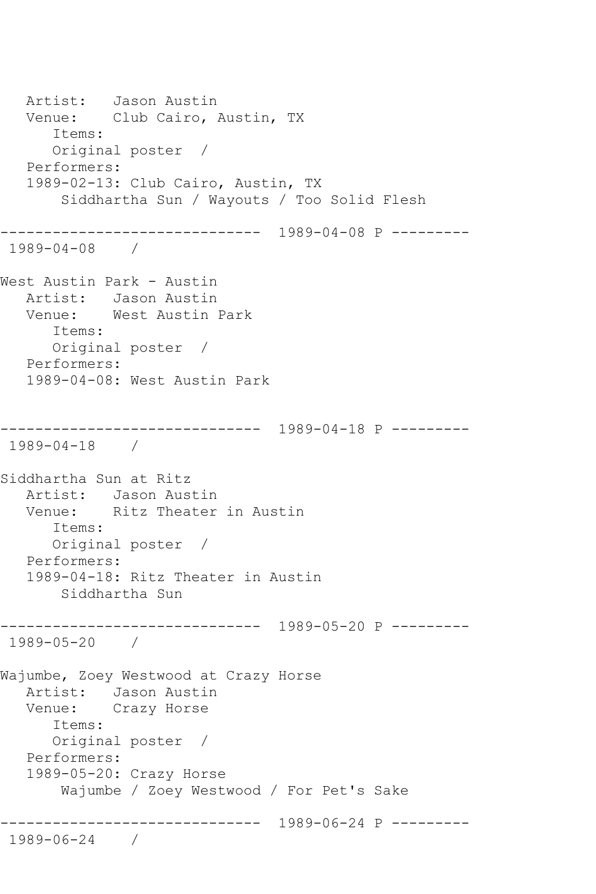Artist: Jason Austin Venue: Club Cairo, Austin, TX Items: Original poster / Performers: 1989-02-13: Club Cairo, Austin, TX Siddhartha Sun / Wayouts / Too Solid Flesh ------------------------------ 1989-04-08 P --------- 1989-04-08 / West Austin Park - Austin Artist: Jason Austin Venue: West Austin Park Items: Original poster / Performers: 1989-04-08: West Austin Park ------------------------------ 1989-04-18 P --------- 1989-04-18 / Siddhartha Sun at Ritz Artist: Jason Austin<br>Venue: Ritz Theater Ritz Theater in Austin Items: Original poster / Performers: 1989-04-18: Ritz Theater in Austin Siddhartha Sun ------------------------------ 1989-05-20 P --------- 1989-05-20 / Wajumbe, Zoey Westwood at Crazy Horse Artist: Jason Austin Venue: Crazy Horse Items: Original poster / Performers: 1989-05-20: Crazy Horse Wajumbe / Zoey Westwood / For Pet's Sake ------------------------------ 1989-06-24 P --------- 1989-06-24 /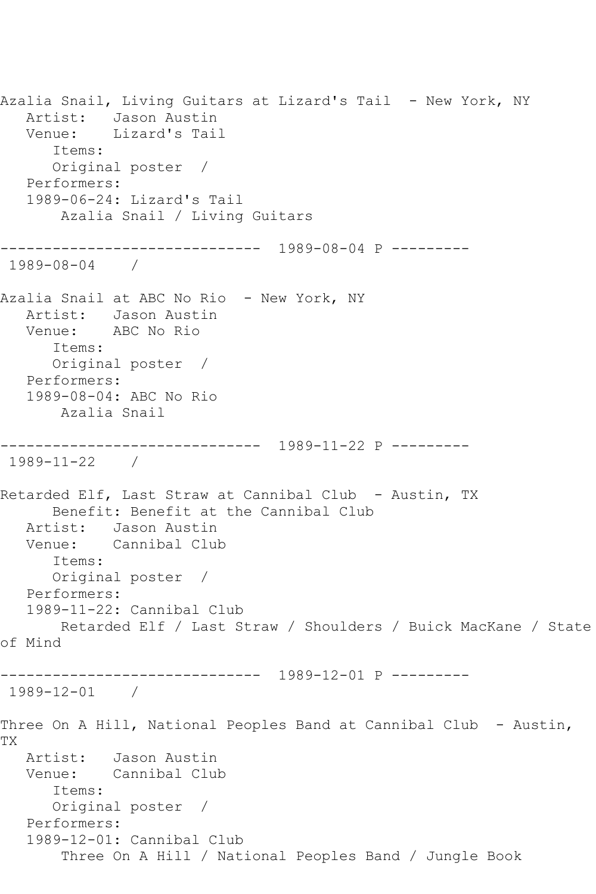Azalia Snail, Living Guitars at Lizard's Tail - New York, NY Artist: Jason Austin Venue: Lizard's Tail Items: Original poster / Performers: 1989-06-24: Lizard's Tail Azalia Snail / Living Guitars ------------------------------ 1989-08-04 P --------- 1989-08-04 / Azalia Snail at ABC No Rio - New York, NY Artist: Jason Austin Venue: ABC No Rio Items: Original poster / Performers: 1989-08-04: ABC No Rio Azalia Snail ------------------------------ 1989-11-22 P --------- 1989-11-22 / Retarded Elf, Last Straw at Cannibal Club - Austin, TX Benefit: Benefit at the Cannibal Club Artist: Jason Austin Venue: Cannibal Club Items: Original poster / Performers: 1989-11-22: Cannibal Club Retarded Elf / Last Straw / Shoulders / Buick MacKane / State of Mind ------------------------------ 1989-12-01 P --------- 1989-12-01 / Three On A Hill, National Peoples Band at Cannibal Club - Austin, TX Artist: Jason Austin Venue: Cannibal Club Items: Original poster / Performers: 1989-12-01: Cannibal Club Three On A Hill / National Peoples Band / Jungle Book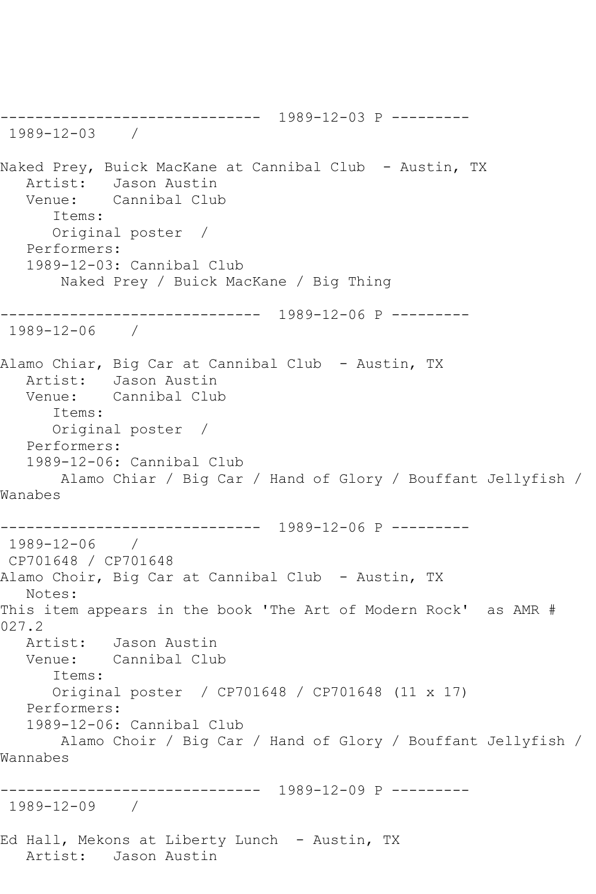------------------------------ 1989-12-03 P --------- 1989-12-03 / Naked Prey, Buick MacKane at Cannibal Club - Austin, TX Artist: Jason Austin<br>Venue: Cannibal Cluk Cannibal Club Items: Original poster / Performers: 1989-12-03: Cannibal Club Naked Prey / Buick MacKane / Big Thing ------------------------------ 1989-12-06 P --------- 1989-12-06 / Alamo Chiar, Big Car at Cannibal Club - Austin, TX Artist: Jason Austin Venue: Cannibal Club Items: Original poster / Performers: 1989-12-06: Cannibal Club Alamo Chiar / Big Car / Hand of Glory / Bouffant Jellyfish / Wanabes ------------------------------ 1989-12-06 P --------- 1989-12-06 / CP701648 / CP701648 Alamo Choir, Big Car at Cannibal Club - Austin, TX Notes: This item appears in the book 'The Art of Modern Rock' as AMR # 027.2 Artist: Jason Austin Venue: Cannibal Club Items: Original poster / CP701648 / CP701648 (11 x 17) Performers: 1989-12-06: Cannibal Club Alamo Choir / Big Car / Hand of Glory / Bouffant Jellyfish / Wannabes ------------------------------ 1989-12-09 P --------- 1989-12-09 / Ed Hall, Mekons at Liberty Lunch - Austin, TX Artist: Jason Austin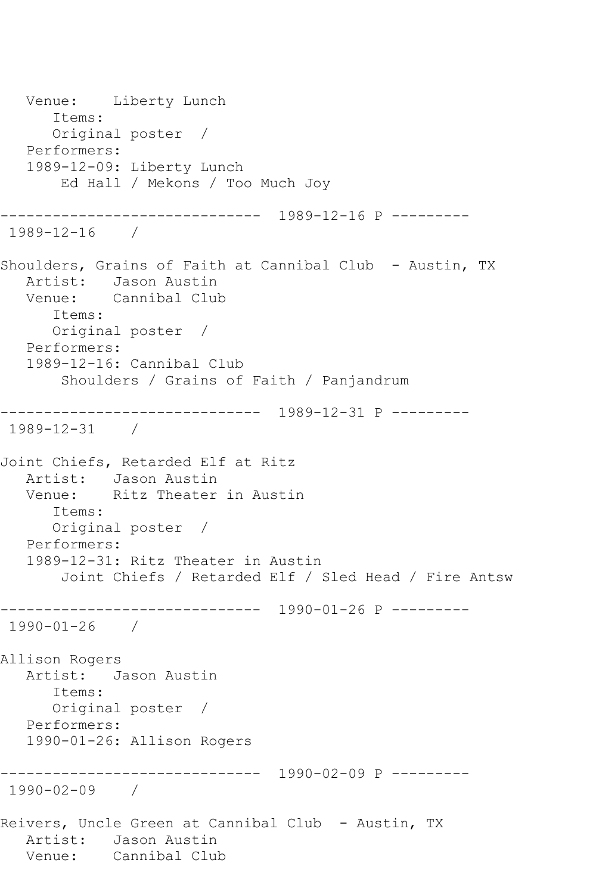Venue: Liberty Lunch Items: Original poster / Performers: 1989-12-09: Liberty Lunch Ed Hall / Mekons / Too Much Joy ------------------------------ 1989-12-16 P --------- 1989-12-16 / Shoulders, Grains of Faith at Cannibal Club - Austin, TX Artist: Jason Austin<br>Venue: Cannibal Clul Cannibal Club Items: Original poster / Performers: 1989-12-16: Cannibal Club Shoulders / Grains of Faith / Panjandrum ------------------------------ 1989-12-31 P --------- 1989-12-31 / Joint Chiefs, Retarded Elf at Ritz Artist: Jason Austin Venue: Ritz Theater in Austin Items: Original poster / Performers: 1989-12-31: Ritz Theater in Austin Joint Chiefs / Retarded Elf / Sled Head / Fire Antsw ------------------------------ 1990-01-26 P --------- 1990-01-26 / Allison Rogers Artist: Jason Austin Items: Original poster / Performers: 1990-01-26: Allison Rogers ------------------------------ 1990-02-09 P --------- 1990-02-09 / Reivers, Uncle Green at Cannibal Club - Austin, TX Artist: Jason Austin<br>Venue: Cannibal Clul Cannibal Club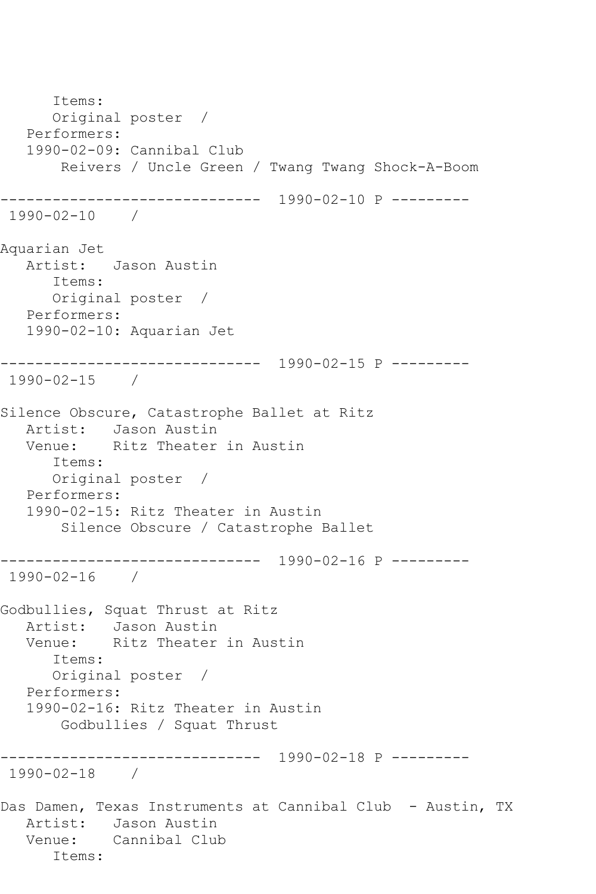Items: Original poster / Performers: 1990-02-09: Cannibal Club Reivers / Uncle Green / Twang Twang Shock-A-Boom ------------------------------ 1990-02-10 P --------- 1990-02-10 / Aquarian Jet Artist: Jason Austin Items: Original poster / Performers: 1990-02-10: Aquarian Jet ------------------------------ 1990-02-15 P --------- 1990-02-15 / Silence Obscure, Catastrophe Ballet at Ritz Artist: Jason Austin Venue: Ritz Theater in Austin Items: Original poster / Performers: 1990-02-15: Ritz Theater in Austin Silence Obscure / Catastrophe Ballet ------------------------------ 1990-02-16 P --------- 1990-02-16 / Godbullies, Squat Thrust at Ritz Artist: Jason Austin<br>Venue: Ritz Theater Ritz Theater in Austin Items: Original poster / Performers: 1990-02-16: Ritz Theater in Austin Godbullies / Squat Thrust ------------------------------ 1990-02-18 P --------- 1990-02-18 / Das Damen, Texas Instruments at Cannibal Club - Austin, TX Artist: Jason Austin Venue: Cannibal Club Items: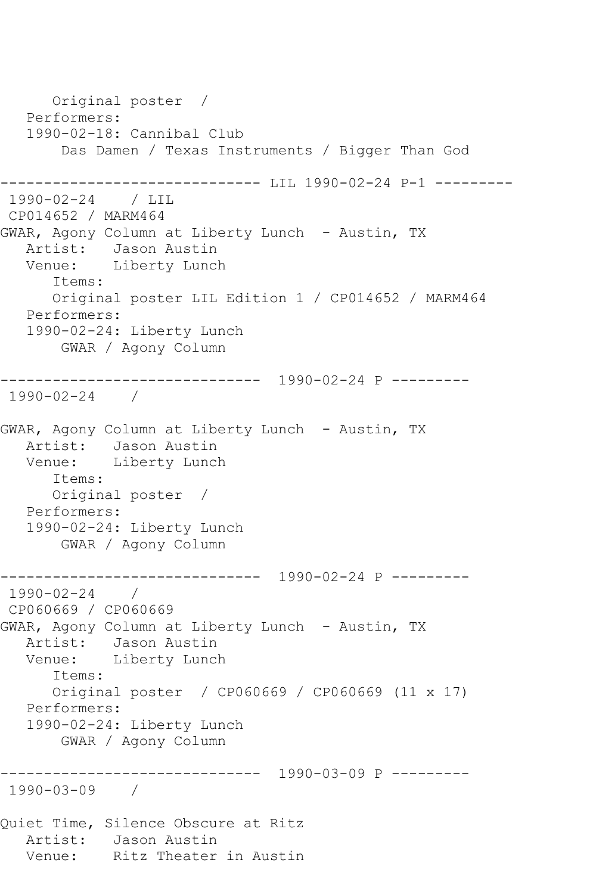Original poster / Performers: 1990-02-18: Cannibal Club Das Damen / Texas Instruments / Bigger Than God ------------ LIL 1990-02-24 P-1 ----------1990-02-24 / LIL CP014652 / MARM464 GWAR, Agony Column at Liberty Lunch - Austin, TX Artist: Jason Austin Venue: Liberty Lunch Items: Original poster LIL Edition 1 / CP014652 / MARM464 Performers: 1990-02-24: Liberty Lunch GWAR / Agony Column ------------------------------ 1990-02-24 P --------- 1990-02-24 / GWAR, Agony Column at Liberty Lunch - Austin, TX Artist: Jason Austin<br>Venue: Liberty Luncl Liberty Lunch Items: Original poster / Performers: 1990-02-24: Liberty Lunch GWAR / Agony Column \_\_\_\_\_\_\_\_\_\_\_\_\_\_\_ ------------------------------ 1990-02-24 P --------- 1990-02-24 / CP060669 / CP060669 GWAR, Agony Column at Liberty Lunch - Austin, TX Artist: Jason Austin Venue: Liberty Lunch Items: Original poster / CP060669 / CP060669 (11 x 17) Performers: 1990-02-24: Liberty Lunch GWAR / Agony Column ------------------------------ 1990-03-09 P --------- 1990-03-09 / Quiet Time, Silence Obscure at Ritz Artist: Jason Austin<br>Venue: Ritz Theater Ritz Theater in Austin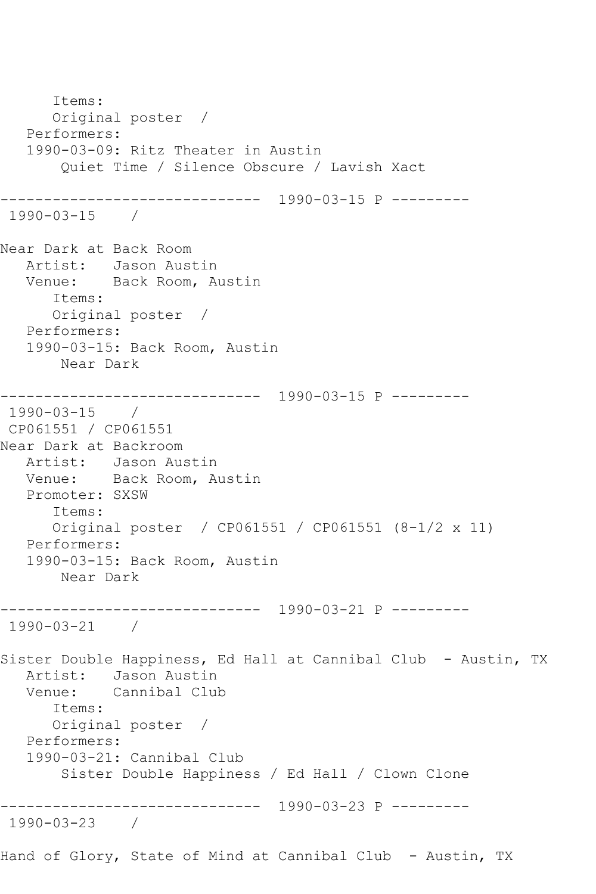Items: Original poster / Performers: 1990-03-09: Ritz Theater in Austin Quiet Time / Silence Obscure / Lavish Xact ------------------------------ 1990-03-15 P --------- 1990-03-15 / Near Dark at Back Room Artist: Jason Austin Venue: Back Room, Austin Items: Original poster / Performers: 1990-03-15: Back Room, Austin Near Dark ------------------------------ 1990-03-15 P --------- 1990-03-15 / CP061551 / CP061551 Near Dark at Backroom Artist: Jason Austin Venue: Back Room, Austin Promoter: SXSW Items: Original poster / CP061551 / CP061551 (8-1/2 x 11) Performers: 1990-03-15: Back Room, Austin Near Dark ------------------------------ 1990-03-21 P --------- 1990-03-21 / Sister Double Happiness, Ed Hall at Cannibal Club - Austin, TX Artist: Jason Austin<br>Venue: Cannibal Clu Cannibal Club Items: Original poster / Performers: 1990-03-21: Cannibal Club Sister Double Happiness / Ed Hall / Clown Clone ------------------------------ 1990-03-23 P --------- 1990-03-23 / Hand of Glory, State of Mind at Cannibal Club - Austin, TX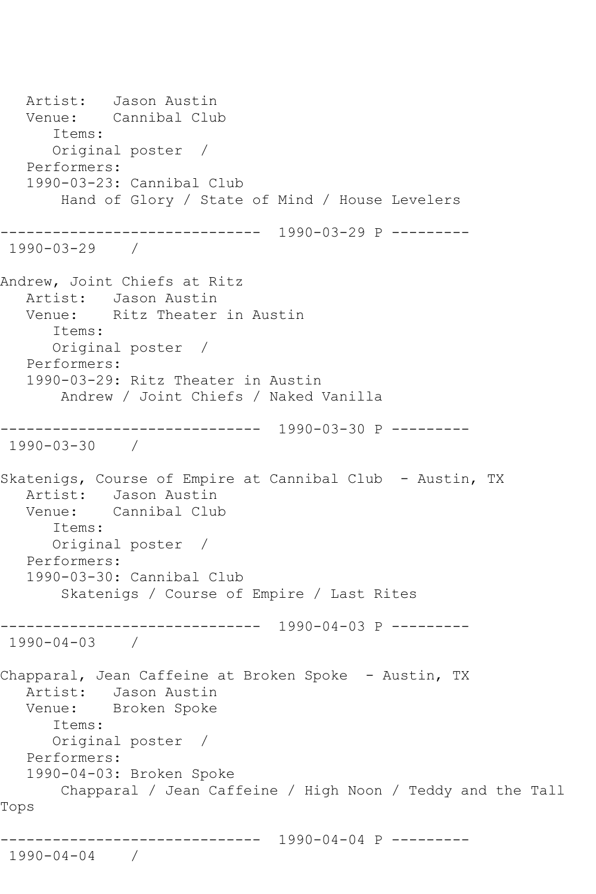Artist: Jason Austin<br>Venue: Cannibal Clu Cannibal Club Items: Original poster / Performers: 1990-03-23: Cannibal Club Hand of Glory / State of Mind / House Levelers ------------------------------ 1990-03-29 P --------- 1990-03-29 / Andrew, Joint Chiefs at Ritz Artist: Jason Austin Venue: Ritz Theater in Austin Items: Original poster / Performers: 1990-03-29: Ritz Theater in Austin Andrew / Joint Chiefs / Naked Vanilla ------------------------------ 1990-03-30 P --------- 1990-03-30 / Skatenigs, Course of Empire at Cannibal Club - Austin, TX Artist: Jason Austin<br>Venue: Cannibal Clu Cannibal Club Items: Original poster / Performers: 1990-03-30: Cannibal Club Skatenigs / Course of Empire / Last Rites ------------------------------ 1990-04-03 P --------- 1990-04-03 / Chapparal, Jean Caffeine at Broken Spoke - Austin, TX Artist: Jason Austin Venue: Broken Spoke Items: Original poster / Performers: 1990-04-03: Broken Spoke Chapparal / Jean Caffeine / High Noon / Teddy and the Tall Tops ------------------------------ 1990-04-04 P --------- 1990-04-04 /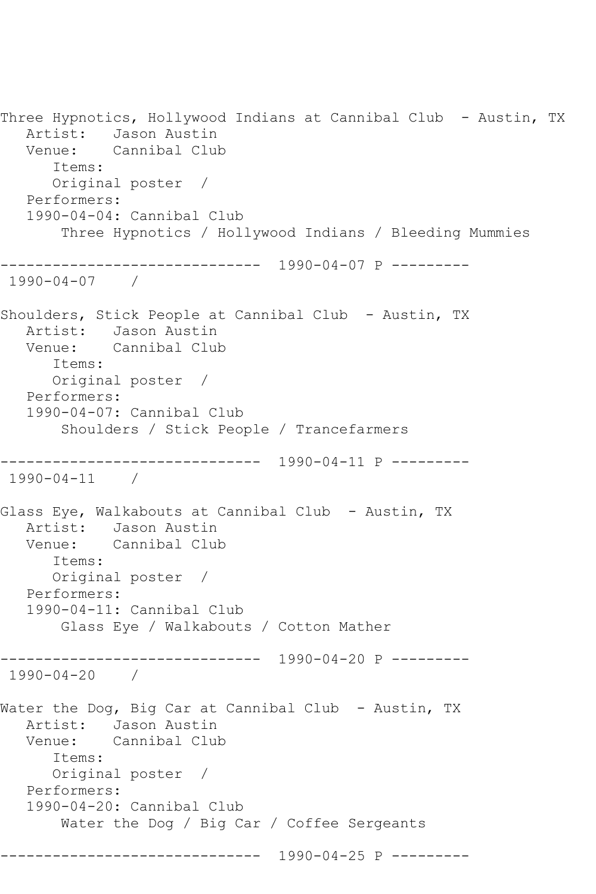Three Hypnotics, Hollywood Indians at Cannibal Club - Austin, TX Artist: Jason Austin Venue: Cannibal Club Items: Original poster / Performers: 1990-04-04: Cannibal Club Three Hypnotics / Hollywood Indians / Bleeding Mummies ------------------------------ 1990-04-07 P --------- 1990-04-07 / Shoulders, Stick People at Cannibal Club - Austin, TX Artist: Jason Austin Venue: Cannibal Club Items: Original poster / Performers: 1990-04-07: Cannibal Club Shoulders / Stick People / Trancefarmers ------------------------------ 1990-04-11 P --------- 1990-04-11 / Glass Eye, Walkabouts at Cannibal Club - Austin, TX Artist: Jason Austin Venue: Cannibal Club Items: Original poster / Performers: 1990-04-11: Cannibal Club Glass Eye / Walkabouts / Cotton Mather ------------------------------ 1990-04-20 P --------- 1990-04-20 / Water the Dog, Big Car at Cannibal Club - Austin, TX Artist: Jason Austin<br>Venue: Cannibal Clul Cannibal Club Items: Original poster / Performers: 1990-04-20: Cannibal Club Water the Dog / Big Car / Coffee Sergeants ------------------------------ 1990-04-25 P ---------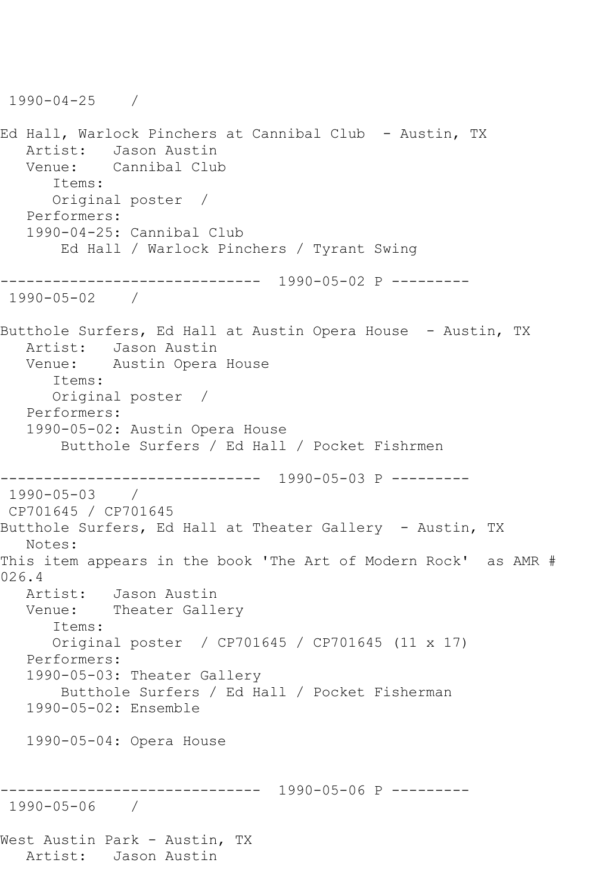1990-04-25 / Ed Hall, Warlock Pinchers at Cannibal Club - Austin, TX Artist: Jason Austin<br>Venue: Cannibal Clul Cannibal Club Items: Original poster / Performers: 1990-04-25: Cannibal Club Ed Hall / Warlock Pinchers / Tyrant Swing ------------------------------ 1990-05-02 P --------- 1990-05-02 / Butthole Surfers, Ed Hall at Austin Opera House - Austin, TX Artist: Jason Austin Venue: Austin Opera House Items: Original poster / Performers: 1990-05-02: Austin Opera House Butthole Surfers / Ed Hall / Pocket Fishrmen ------------------------------ 1990-05-03 P --------- 1990-05-03 / CP701645 / CP701645 Butthole Surfers, Ed Hall at Theater Gallery - Austin, TX Notes: This item appears in the book 'The Art of Modern Rock' as AMR # 026.4 Artist: Jason Austin Venue: Theater Gallery Items: Original poster / CP701645 / CP701645 (11 x 17) Performers: 1990-05-03: Theater Gallery Butthole Surfers / Ed Hall / Pocket Fisherman 1990-05-02: Ensemble 1990-05-04: Opera House ------------------------------ 1990-05-06 P --------- 1990-05-06 / West Austin Park - Austin, TX Artist: Jason Austin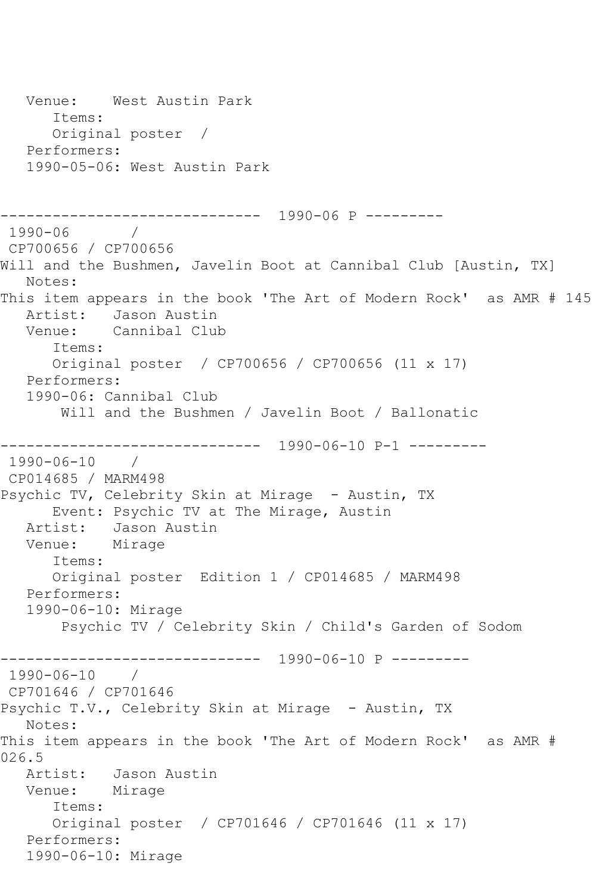```
 Venue: West Austin Park
       Items:
       Original poster / 
   Performers:
   1990-05-06: West Austin Park
------------------------------ 1990-06 P ---------
1990-06 / 
CP700656 / CP700656
Will and the Bushmen, Javelin Boot at Cannibal Club [Austin, TX]
   Notes: 
This item appears in the book 'The Art of Modern Rock' as AMR # 145
   Artist: Jason Austin
   Venue: Cannibal Club
       Items:
      Original poster / CP700656 / CP700656 (11 x 17)
   Performers:
   1990-06: Cannibal Club
        Will and the Bushmen / Javelin Boot / Ballonatic
         ------------------------------ 1990-06-10 P-1 ---------
1990-06-10 / 
CP014685 / MARM498
Psychic TV, Celebrity Skin at Mirage - Austin, TX
      Event: Psychic TV at The Mirage, Austin
   Artist: Jason Austin
   Venue: Mirage
       Items:
       Original poster Edition 1 / CP014685 / MARM498
   Performers:
   1990-06-10: Mirage
        Psychic TV / Celebrity Skin / Child's Garden of Sodom
                 ------------------------------ 1990-06-10 P ---------
1990-06-10 / 
CP701646 / CP701646
Psychic T.V., Celebrity Skin at Mirage - Austin, TX
   Notes: 
This item appears in the book 'The Art of Modern Rock' as AMR # 
026.5
   Artist: Jason Austin
   Venue: Mirage
       Items:
      Original poster / CP701646 / CP701646 (11 x 17)
   Performers:
   1990-06-10: Mirage
```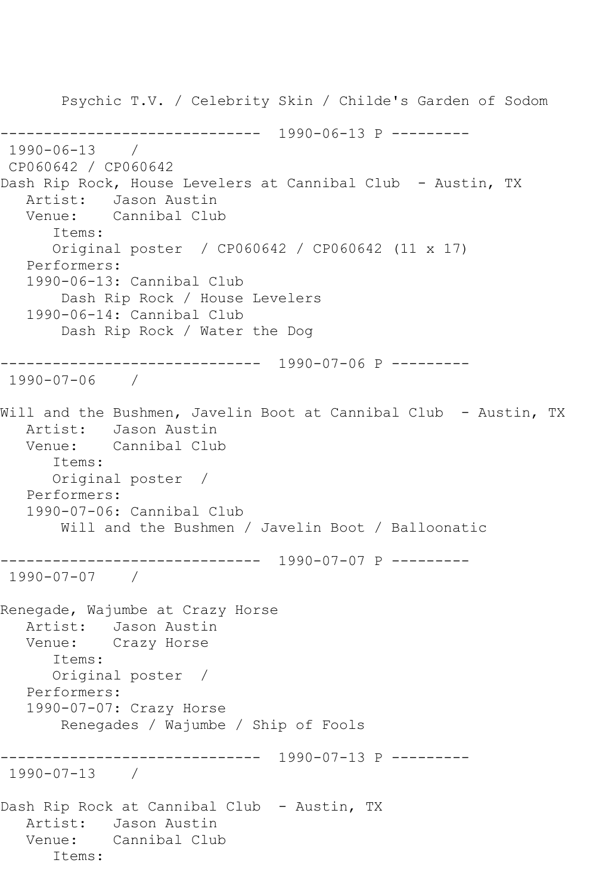Psychic T.V. / Celebrity Skin / Childe's Garden of Sodom ------------------------------ 1990-06-13 P --------- 1990-06-13 / CP060642 / CP060642 Dash Rip Rock, House Levelers at Cannibal Club - Austin, TX Artist: Jason Austin<br>Venue: Cannibal Clul Cannibal Club Items: Original poster / CP060642 / CP060642 (11 x 17) Performers: 1990-06-13: Cannibal Club Dash Rip Rock / House Levelers 1990-06-14: Cannibal Club Dash Rip Rock / Water the Dog ------------------------------ 1990-07-06 P --------- 1990-07-06 / Will and the Bushmen, Javelin Boot at Cannibal Club - Austin, TX Artist: Jason Austin Venue: Cannibal Club Items: Original poster / Performers: 1990-07-06: Cannibal Club Will and the Bushmen / Javelin Boot / Balloonatic ------------------------------ 1990-07-07 P --------- 1990-07-07 / Renegade, Wajumbe at Crazy Horse Artist: Jason Austin<br>Venue: Crazy Horse Crazy Horse Items: Original poster / Performers: 1990-07-07: Crazy Horse Renegades / Wajumbe / Ship of Fools ------------------------------ 1990-07-13 P --------- 1990-07-13 / Dash Rip Rock at Cannibal Club - Austin, TX Artist: Jason Austin Venue: Cannibal Club Items: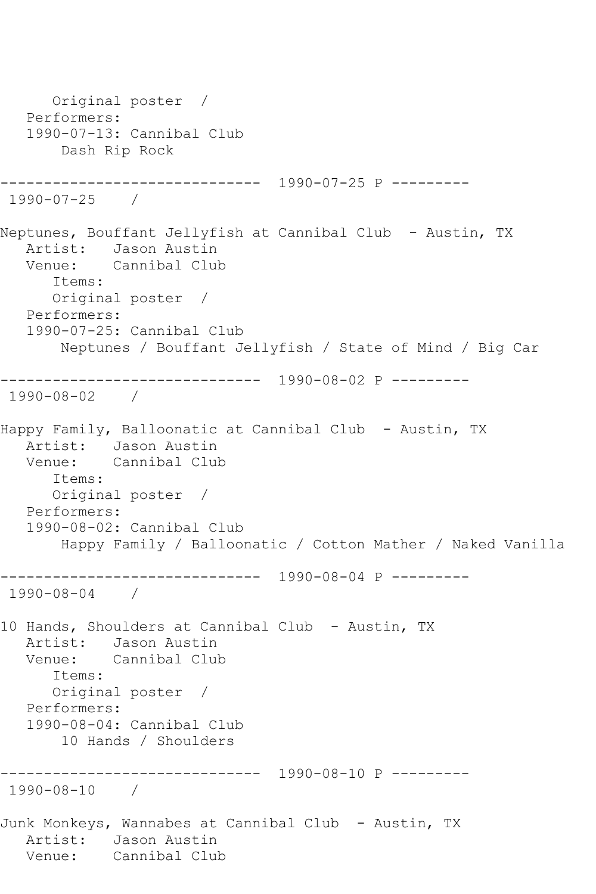Original poster / Performers: 1990-07-13: Cannibal Club Dash Rip Rock ------------------------------ 1990-07-25 P --------- 1990-07-25 / Neptunes, Bouffant Jellyfish at Cannibal Club - Austin, TX Artist: Jason Austin Venue: Cannibal Club Items: Original poster / Performers: 1990-07-25: Cannibal Club Neptunes / Bouffant Jellyfish / State of Mind / Big Car ------------------------------ 1990-08-02 P --------- 1990-08-02 / Happy Family, Balloonatic at Cannibal Club - Austin, TX Artist: Jason Austin Venue: Cannibal Club Items: Original poster / Performers: 1990-08-02: Cannibal Club Happy Family / Balloonatic / Cotton Mather / Naked Vanilla ------------------------------ 1990-08-04 P --------- 1990-08-04 / 10 Hands, Shoulders at Cannibal Club - Austin, TX Artist: Jason Austin Venue: Cannibal Club Items: Original poster / Performers: 1990-08-04: Cannibal Club 10 Hands / Shoulders ------------------------------ 1990-08-10 P --------- 1990-08-10 / Junk Monkeys, Wannabes at Cannibal Club - Austin, TX Artist: Jason Austin<br>Venue: Cannibal Club Cannibal Club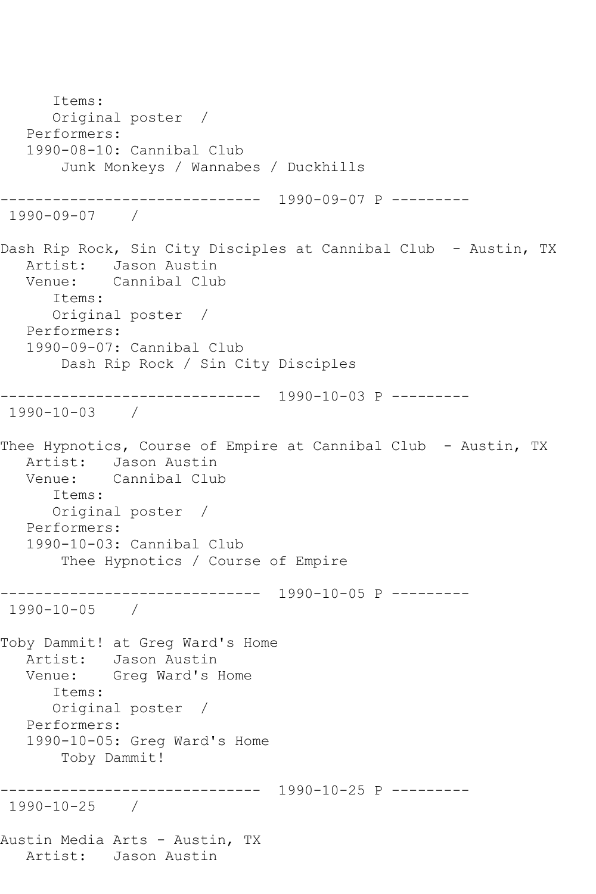Items: Original poster / Performers: 1990-08-10: Cannibal Club Junk Monkeys / Wannabes / Duckhills ------------------------------ 1990-09-07 P --------- 1990-09-07 / Dash Rip Rock, Sin City Disciples at Cannibal Club - Austin, TX Artist: Jason Austin Venue: Cannibal Club Items: Original poster / Performers: 1990-09-07: Cannibal Club Dash Rip Rock / Sin City Disciples ------------------------------ 1990-10-03 P --------- 1990-10-03 / Thee Hypnotics, Course of Empire at Cannibal Club - Austin, TX Artist: Jason Austin<br>Venue: Cannibal Clu Cannibal Club Items: Original poster / Performers: 1990-10-03: Cannibal Club Thee Hypnotics / Course of Empire ------------------------------ 1990-10-05 P --------- 1990-10-05 / Toby Dammit! at Greg Ward's Home Artist: Jason Austin Venue: Greg Ward's Home Items: Original poster / Performers: 1990-10-05: Greg Ward's Home Toby Dammit! ------------------------------ 1990-10-25 P --------- 1990-10-25 / Austin Media Arts - Austin, TX Artist: Jason Austin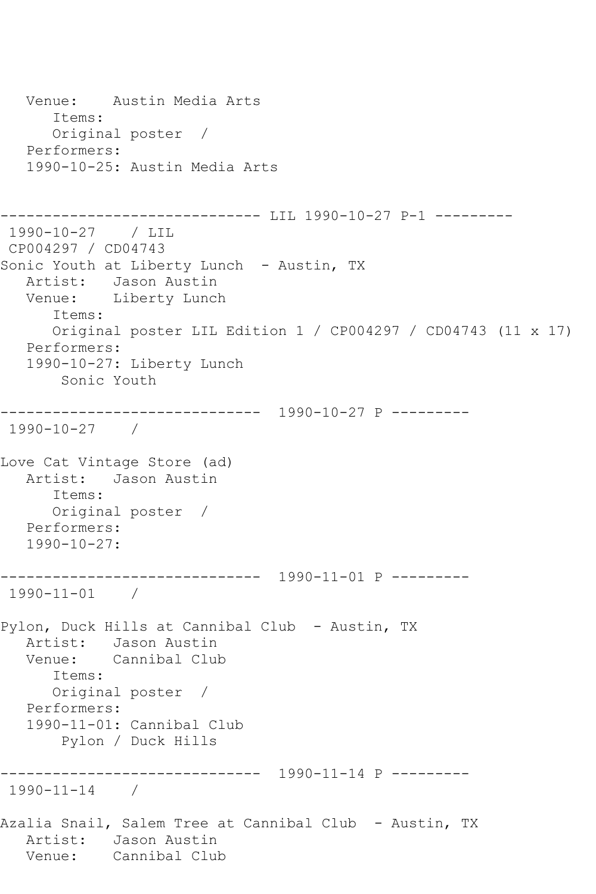```
 Venue: Austin Media Arts
       Items:
       Original poster / 
   Performers:
   1990-10-25: Austin Media Arts
------------------------------ LIL 1990-10-27 P-1 ---------
1990-10-27 / LIL 
CP004297 / CD04743
Sonic Youth at Liberty Lunch - Austin, TX
   Artist: Jason Austin
   Venue: Liberty Lunch
       Items:
      Original poster LIL Edition 1 / CP004297 / CD04743 (11 x 17)
   Performers:
   1990-10-27: Liberty Lunch
       Sonic Youth
------------------------------ 1990-10-27 P ---------
1990-10-27 / 
Love Cat Vintage Store (ad)
   Artist: Jason Austin
      Items:
      Original poster / 
   Performers:
   1990-10-27:
------------------------------ 1990-11-01 P ---------
1990-11-01 / 
Pylon, Duck Hills at Cannibal Club - Austin, TX
   Artist: Jason Austin
   Venue: Cannibal Club
      Items:
      Original poster / 
   Performers:
   1990-11-01: Cannibal Club
        Pylon / Duck Hills
   ------------------------------ 1990-11-14 P ---------
1990-11-14 / 
Azalia Snail, Salem Tree at Cannibal Club - Austin, TX
  Artist: Jason Austin<br>Venue: Cannibal Clul
           Cannibal Club
```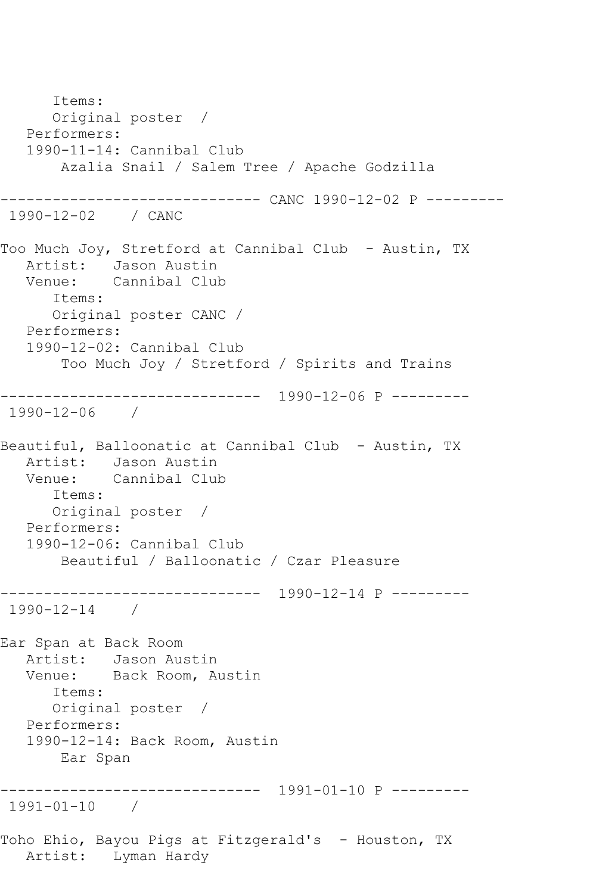Items: Original poster / Performers: 1990-11-14: Cannibal Club Azalia Snail / Salem Tree / Apache Godzilla ------------------------------ CANC 1990-12-02 P --------- 1990-12-02 / CANC Too Much Joy, Stretford at Cannibal Club - Austin, TX Artist: Jason Austin Venue: Cannibal Club Items: Original poster CANC / Performers: 1990-12-02: Cannibal Club Too Much Joy / Stretford / Spirits and Trains ------------------------------ 1990-12-06 P --------- 1990-12-06 / Beautiful, Balloonatic at Cannibal Club - Austin, TX Artist: Jason Austin Venue: Cannibal Club Items: Original poster / Performers: 1990-12-06: Cannibal Club Beautiful / Balloonatic / Czar Pleasure ------------------------------ 1990-12-14 P --------- 1990-12-14 / Ear Span at Back Room Artist: Jason Austin Venue: Back Room, Austin Items: Original poster / Performers: 1990-12-14: Back Room, Austin Ear Span ------------------------------ 1991-01-10 P --------- 1991-01-10 / Toho Ehio, Bayou Pigs at Fitzgerald's - Houston, TX Artist: Lyman Hardy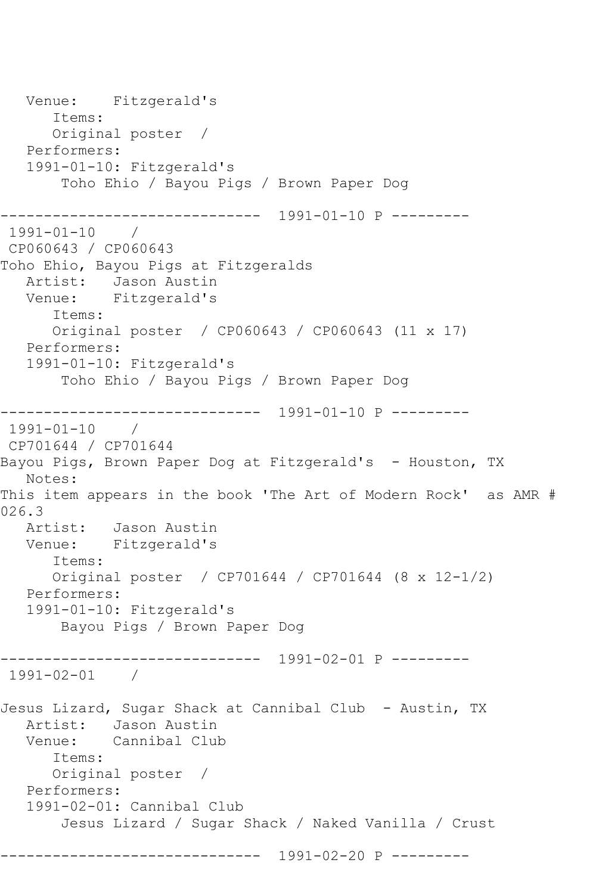Venue: Fitzgerald's Items: Original poster / Performers: 1991-01-10: Fitzgerald's Toho Ehio / Bayou Pigs / Brown Paper Dog ------------------------------ 1991-01-10 P --------- 1991-01-10 / CP060643 / CP060643 Toho Ehio, Bayou Pigs at Fitzgeralds Artist: Jason Austin<br>Venue: Fitzgerald's Fitzgerald's Items: Original poster / CP060643 / CP060643 (11 x 17) Performers: 1991-01-10: Fitzgerald's Toho Ehio / Bayou Pigs / Brown Paper Dog ------------------------------ 1991-01-10 P --------- 1991-01-10 / CP701644 / CP701644 Bayou Pigs, Brown Paper Dog at Fitzgerald's - Houston, TX Notes: This item appears in the book 'The Art of Modern Rock' as AMR # 026.3<br>Artist: Jason Austin Venue: Fitzgerald's Items: Original poster / CP701644 / CP701644 (8 x 12-1/2) Performers: 1991-01-10: Fitzgerald's Bayou Pigs / Brown Paper Dog ------------------------------ 1991-02-01 P --------- 1991-02-01 / Jesus Lizard, Sugar Shack at Cannibal Club - Austin, TX Artist: Jason Austin<br>Venue: Cannibal Clul Cannibal Club Items: Original poster / Performers: 1991-02-01: Cannibal Club Jesus Lizard / Sugar Shack / Naked Vanilla / Crust ------------------------------ 1991-02-20 P ---------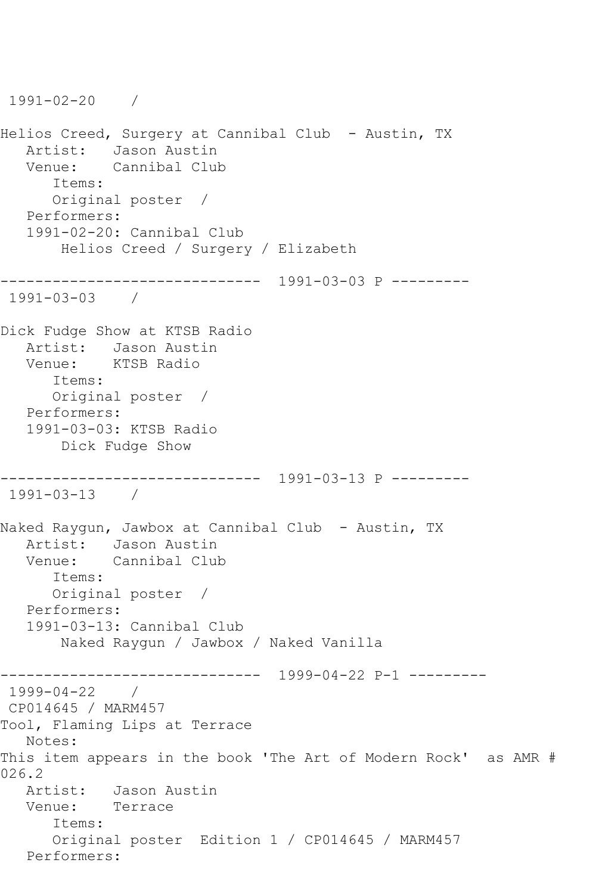```
1991-02-20 / 
Helios Creed, Surgery at Cannibal Club - Austin, TX
  Artist: Jason Austin<br>Venue: Cannibal Clul
           Cannibal Club
      Items:
      Original poster / 
   Performers:
   1991-02-20: Cannibal Club
       Helios Creed / Surgery / Elizabeth
------------------------------ 1991-03-03 P ---------
1991-03-03 / 
Dick Fudge Show at KTSB Radio
   Artist: Jason Austin
   Venue: KTSB Radio
       Items:
      Original poster / 
   Performers:
   1991-03-03: KTSB Radio
        Dick Fudge Show
------------------------------ 1991-03-13 P ---------
1991-03-13 / 
Naked Raygun, Jawbox at Cannibal Club - Austin, TX
   Artist: Jason Austin
   Venue: Cannibal Club
      Items:
      Original poster / 
   Performers:
   1991-03-13: Cannibal Club
        Naked Raygun / Jawbox / Naked Vanilla
------------------------------ 1999-04-22 P-1 ---------
1999-04-22 / 
CP014645 / MARM457
Tool, Flaming Lips at Terrace
   Notes: 
This item appears in the book 'The Art of Modern Rock' as AMR # 
026.2<br>Artist:
           Jason Austin
   Venue: Terrace
       Items:
      Original poster Edition 1 / CP014645 / MARM457
   Performers:
```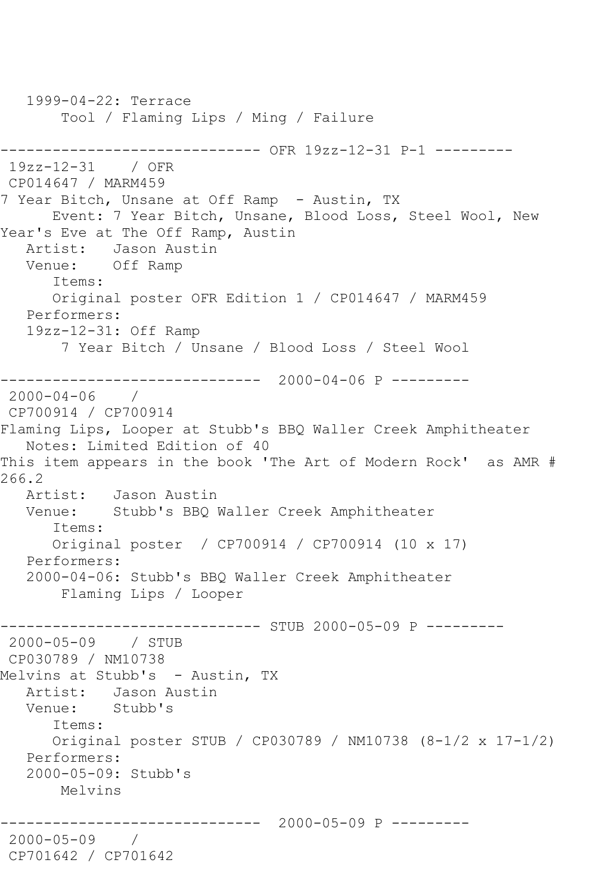1999-04-22: Terrace Tool / Flaming Lips / Ming / Failure ------------------------------ OFR 19zz-12-31 P-1 --------- 19zz-12-31 / OFR CP014647 / MARM459 7 Year Bitch, Unsane at Off Ramp - Austin, TX Event: 7 Year Bitch, Unsane, Blood Loss, Steel Wool, New Year's Eve at The Off Ramp, Austin Artist: Jason Austin Venue: Off Ramp Items: Original poster OFR Edition 1 / CP014647 / MARM459 Performers: 19zz-12-31: Off Ramp 7 Year Bitch / Unsane / Blood Loss / Steel Wool ------------------------------ 2000-04-06 P --------- 2000-04-06 / CP700914 / CP700914 Flaming Lips, Looper at Stubb's BBQ Waller Creek Amphitheater Notes: Limited Edition of 40 This item appears in the book 'The Art of Modern Rock' as AMR # 266.2 Artist: Jason Austin<br>Venue: Stubb's BBO I Stubb's BBQ Waller Creek Amphitheater Items: Original poster / CP700914 / CP700914 (10 x 17) Performers: 2000-04-06: Stubb's BBQ Waller Creek Amphitheater Flaming Lips / Looper ------------------------------ STUB 2000-05-09 P --------- 2000-05-09 / STUB CP030789 / NM10738 Melvins at Stubb's - Austin, TX Artist: Jason Austin Venue: Stubb's Items: Original poster STUB / CP030789 / NM10738 (8-1/2 x 17-1/2) Performers: 2000-05-09: Stubb's Melvins ------------------------------ 2000-05-09 P --------- 2000-05-09 / CP701642 / CP701642